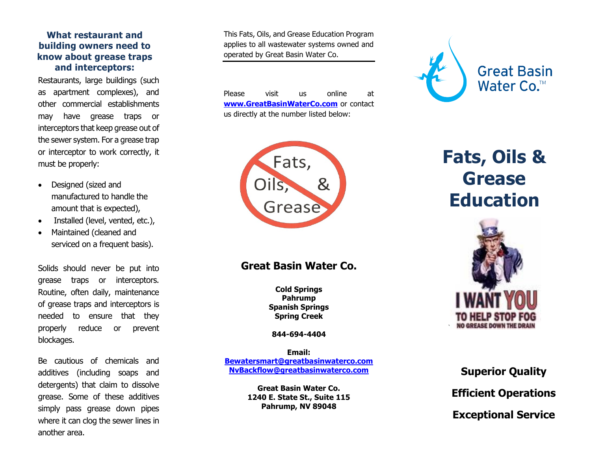#### **What restaurant and building owners need to know about grease traps and interceptors:**

Restaurants, large buildings (such as apartment complexes), and other commercial establishments may have grease traps or interceptors that keep grease out of the sewer system. For a grease trap or interceptor to work correctly, it must be properly:

- Designed (sized and manufactured to handle the amount that is expected),
- Installed (level, vented, etc.),
- Maintained (cleaned and serviced on a frequent basis).

Solids should never be put into grease traps or interceptors. Routine, often daily, maintenance of grease traps and interceptors is needed to ensure that they properly reduce or prevent blockages.

Be cautious of chemicals and additives (including soaps and detergents) that claim to dissolve grease. Some of these additives simply pass grease down pipes where it can clog the sewer lines in another area.

This Fats, Oils, and Grease Education Program applies to all wastewater systems owned and operated by Great Basin Water Co.

Please visit us online at **[www.GreatBasinWaterCo.com](http://www.uiwater.com/nevada)** or contact us directly at the number listed below:



### **Great Basin Water Co.**

**Cold Springs Pahrump Spanish Springs Spring Creek**

**844 -694 -4404** 

**Email: [Bewatersmart@greatbasinwaterco.com](mailto:Bewatersmart@greatbasinwaterco.com) [NvBackflow@greatbasinwaterco.com](mailto:NvBackflow@greatbasinwaterco.com)**

> **Great Basin Water Co. 1240 E. State St., Suite 115 Pahrump, NV 89048**



# **Fats, Oils & Grease Education**



## **Superior Quality Efficient Operations Exceptional Service**